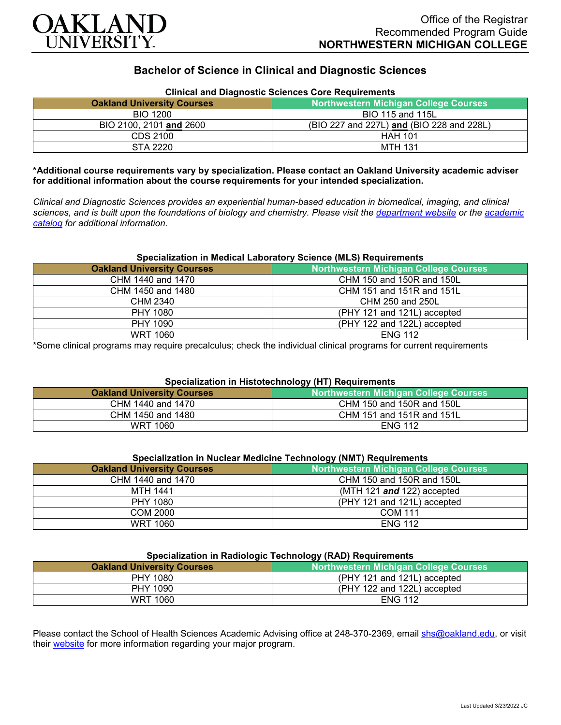

# **Bachelor of Science in Clinical and Diagnostic Sciences**

| Clinical and Diagnostic Sciences Core Requirements |                                              |
|----------------------------------------------------|----------------------------------------------|
| <b>Oakland University Courses</b>                  | <b>Northwestern Michigan College Courses</b> |
| <b>BIO 1200</b>                                    | BIO 115 and 115L                             |
| BIO 2100, 2101 and 2600                            | (BIO 227 and 227L) and (BIO 228 and 228L)    |
| CDS 2100                                           | <b>HAH 101</b>                               |
| STA 2220                                           | <b>MTH 131</b>                               |

#### **Clinical and Diagnostic Sciences Core Requirements**

**\*Additional course requirements vary by specialization. Please contact an Oakland University academic adviser for additional information about the course requirements for your intended specialization.**

*Clinical and Diagnostic Sciences provides an experiential human-based education in biomedical, imaging, and clinical sciences, and is built upon the foundations of biology and chemistry. Please visit the [department website](https://www.oakland.edu/shs/clinical-and-diagnostic-sciences/) or the [academic](http://catalog.oakland.edu/preview_program.php?catoid=53&poid=8663)  [catalog](http://catalog.oakland.edu/preview_program.php?catoid=53&poid=8663) for additional information.*

#### **Specialization in Medical Laboratory Science (MLS) Requirements**

| <b>Oakland University Courses</b> | Northwestern Michigan College Courses |
|-----------------------------------|---------------------------------------|
| CHM 1440 and 1470                 | CHM 150 and 150R and 150L             |
| CHM 1450 and 1480                 | CHM 151 and 151R and 151L             |
| CHM 2340                          | CHM 250 and 250L                      |
| PHY 1080                          | (PHY 121 and 121L) accepted           |
| PHY 1090                          | (PHY 122 and 122L) accepted           |
| WRT 1060                          | <b>ENG 112</b>                        |

\*Some clinical programs may require precalculus; check the individual clinical programs for current requirements

# **Specialization in Histotechnology (HT) Requirements**

| <b>Oakland University Courses</b> | Northwestern Michigan College Courses |
|-----------------------------------|---------------------------------------|
| CHM 1440 and 1470                 | CHM 150 and 150R and 150L             |
| CHM 1450 and 1480                 | CHM 151 and 151R and 151L             |
| WRT 1060                          | <b>ENG 112</b>                        |

# **Specialization in Nuclear Medicine Technology (NMT) Requirements**

| <b>Oakland University Courses</b> | <b>Northwestern Michigan College Courses</b> |
|-----------------------------------|----------------------------------------------|
| CHM 1440 and 1470                 | CHM 150 and 150R and 150L                    |
| MTH 1441                          | (MTH 121 $and$ 122) accepted                 |
| PHY 1080                          | (PHY 121 and 121L) accepted                  |
| COM 2000                          | <b>COM 111</b>                               |
| <b>WRT 1060</b>                   | <b>ENG 112</b>                               |

# **Specialization in Radiologic Technology (RAD) Requirements**

| <b>Oakland University Courses</b> | <b>Northwestern Michigan College Courses</b> |
|-----------------------------------|----------------------------------------------|
| PHY 1080                          | (PHY 121 and 121L) accepted                  |
| PHY 1090                          | (PHY 122 and 122L) accepted                  |
| <b>WRT 1060</b>                   | <b>ENG 112</b>                               |
|                                   |                                              |

Please contact the School of Health Sciences Academic Advising office at 248-370-2369, email [shs@oakland.edu,](mailto:shs@oakland.edu) or visit their [website](http://www.oakland.edu/shs/advising) for more information regarding your major program.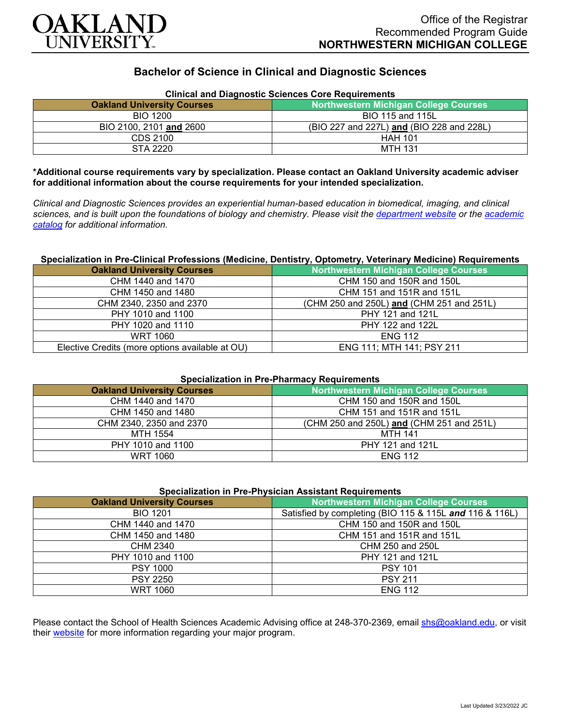

# **Bachelor of Science in Clinical and Diagnostic Sciences**

| Clinical and Diagnostic Sciences Core Requirements |                                              |
|----------------------------------------------------|----------------------------------------------|
| <b>Oakland University Courses</b>                  | <b>Northwestern Michigan College Courses</b> |
| <b>BIO 1200</b>                                    | BIO 115 and 115L                             |
| BIO 2100, 2101 and 2600                            | (BIO 227 and 227L) and (BIO 228 and 228L)    |
| CDS 2100                                           | <b>HAH 101</b>                               |
| STA 2220                                           | <b>MTH 131</b>                               |

# **Clinical and Diagnostic Sciences Core Requirements**

**\*Additional course requirements vary by specialization. Please contact an Oakland University academic adviser for additional information about the course requirements for your intended specialization.**

*Clinical and Diagnostic Sciences provides an experiential human-based education in biomedical, imaging, and clinical sciences, and is built upon the foundations of biology and chemistry. Please visit the [department website](https://www.oakland.edu/shs/clinical-and-diagnostic-sciences/) or the [academic](http://catalog.oakland.edu/preview_program.php?catoid=53&poid=8663)  [catalog](http://catalog.oakland.edu/preview_program.php?catoid=53&poid=8663) for additional information.*

#### **Specialization in Pre-Clinical Professions (Medicine, Dentistry, Optometry, Veterinary Medicine) Requirements**

| <b>Oakland University Courses</b>               | <b>Northwestern Michigan College Courses</b> |
|-------------------------------------------------|----------------------------------------------|
| CHM 1440 and 1470                               | CHM 150 and 150R and 150L                    |
| CHM 1450 and 1480                               | CHM 151 and 151R and 151L                    |
| CHM 2340, 2350 and 2370                         | (CHM 250 and 250L) and (CHM 251 and 251L)    |
| PHY 1010 and 1100                               | PHY 121 and 121L                             |
| PHY 1020 and 1110                               | PHY 122 and 122L                             |
| WRT 1060                                        | <b>ENG 112</b>                               |
| Elective Credits (more options available at OU) | ENG 111; MTH 141; PSY 211                    |

## **Specialization in Pre-Pharmacy Requirements**

| <b>Oakland University Courses</b> | <b>Northwestern Michigan College Courses</b> |
|-----------------------------------|----------------------------------------------|
| CHM 1440 and 1470                 | CHM 150 and 150R and 150L                    |
| CHM 1450 and 1480                 | CHM 151 and 151R and 151L                    |
| CHM 2340, 2350 and 2370           | (CHM 250 and 250L) and (CHM 251 and 251L)    |
| MTH 1554                          | MTH 141                                      |
| PHY 1010 and 1100                 | PHY 121 and 121L                             |
| WRT 1060                          | <b>ENG 112</b>                               |

## **Specialization in Pre-Physician Assistant Requirements**

| <b>Oakland University Courses</b> | Northwestern Michigan College Courses                   |
|-----------------------------------|---------------------------------------------------------|
| <b>BIO 1201</b>                   | Satisfied by completing (BIO 115 & 115L and 116 & 116L) |
| CHM 1440 and 1470                 | CHM 150 and 150R and 150L                               |
| CHM 1450 and 1480                 | CHM 151 and 151R and 151L                               |
| CHM 2340                          | CHM 250 and 250L                                        |
| PHY 1010 and 1100                 | PHY 121 and 121L                                        |
| <b>PSY 1000</b>                   | <b>PSY 101</b>                                          |
| <b>PSY 2250</b>                   | <b>PSY 211</b>                                          |
| <b>WRT 1060</b>                   | <b>ENG 112</b>                                          |

Please contact the School of Health Sciences Academic Advising office at 248-370-2369, email [shs@oakland.edu,](mailto:shs@oakland.edu) or visit their [website](http://www.oakland.edu/shs/advising) for more information regarding your major program.